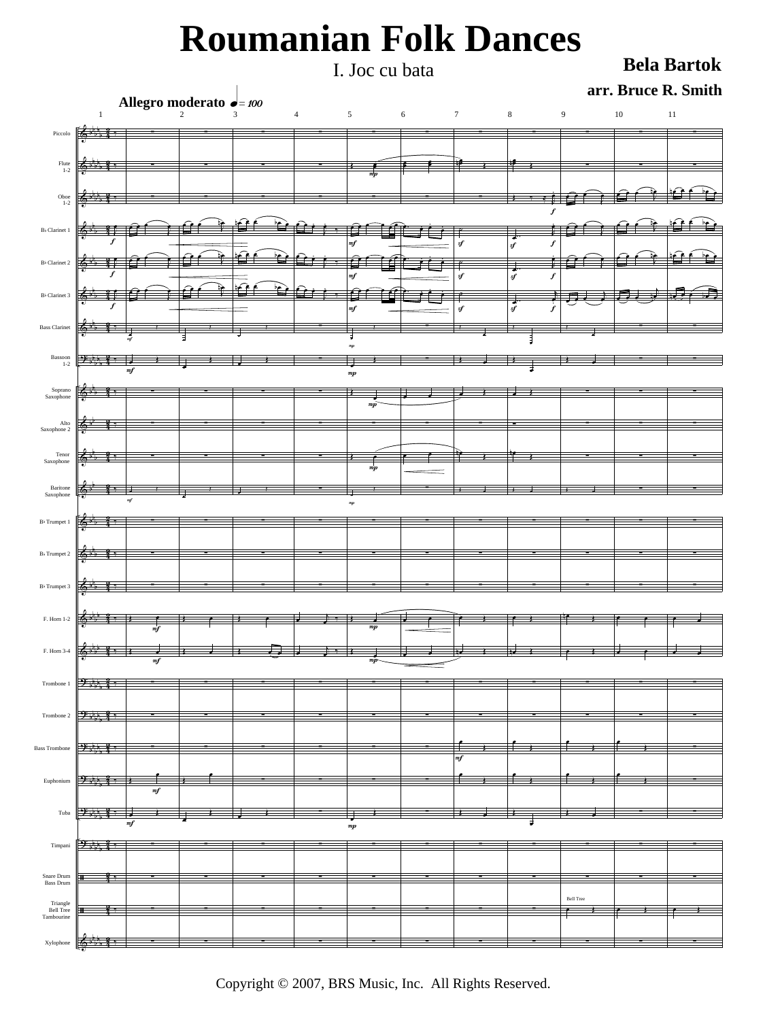### I. Joc cu bata

## **Bela Bartok**



Copyright © 2007, BRS Music, Inc. All Rights Reserved.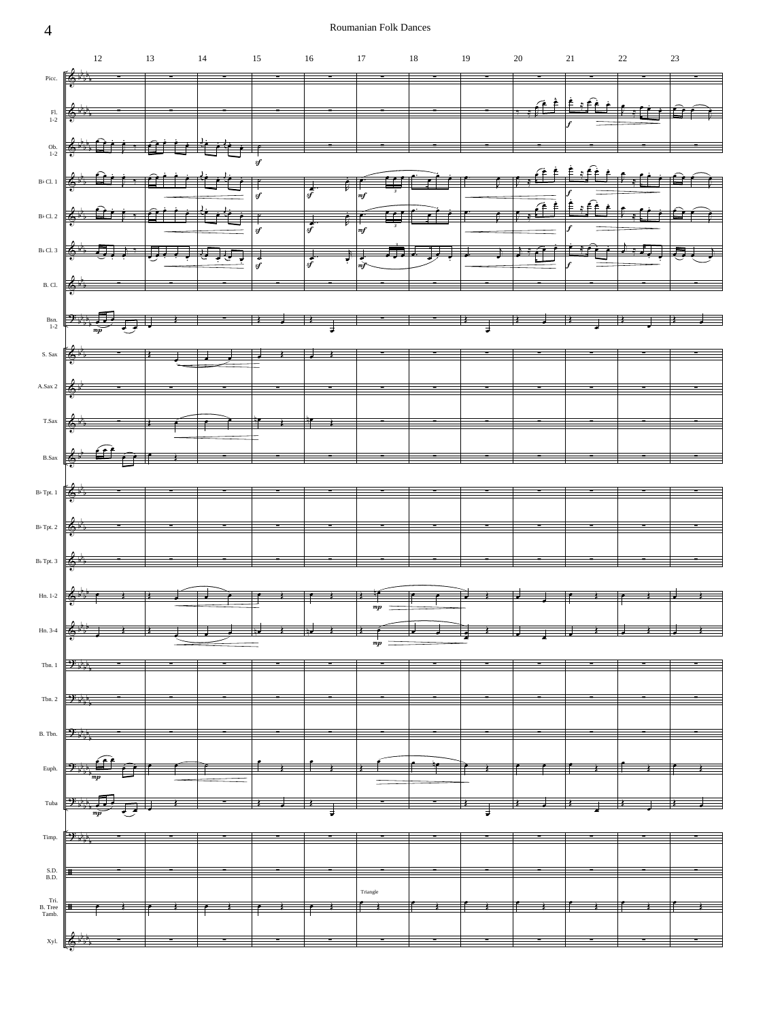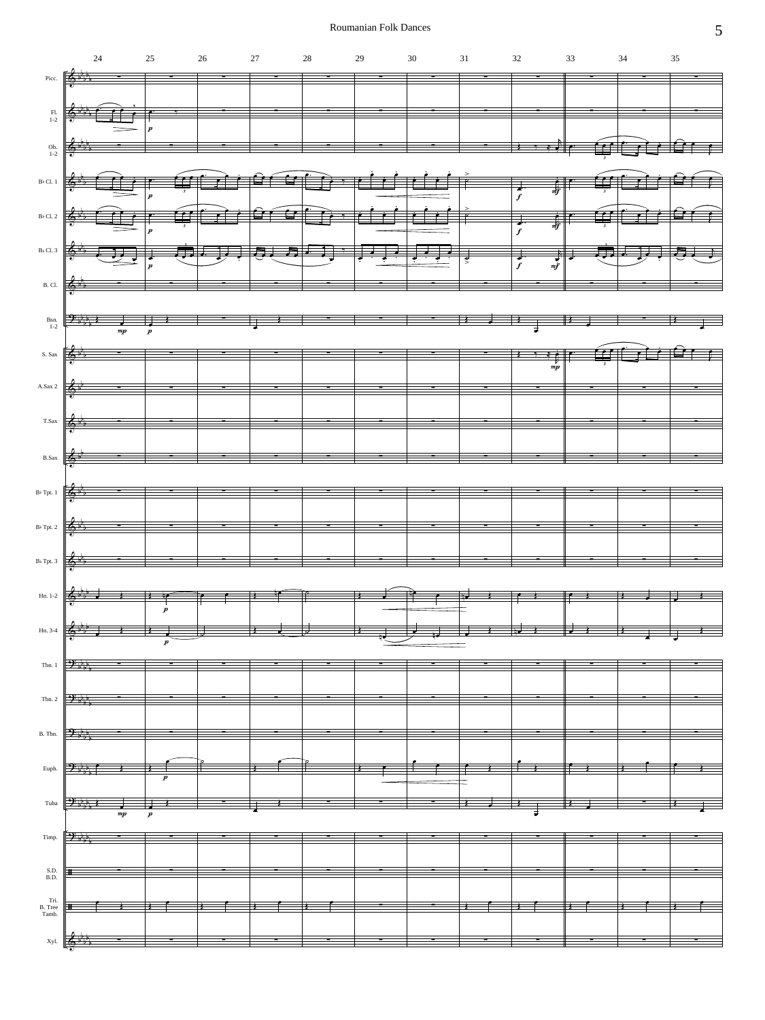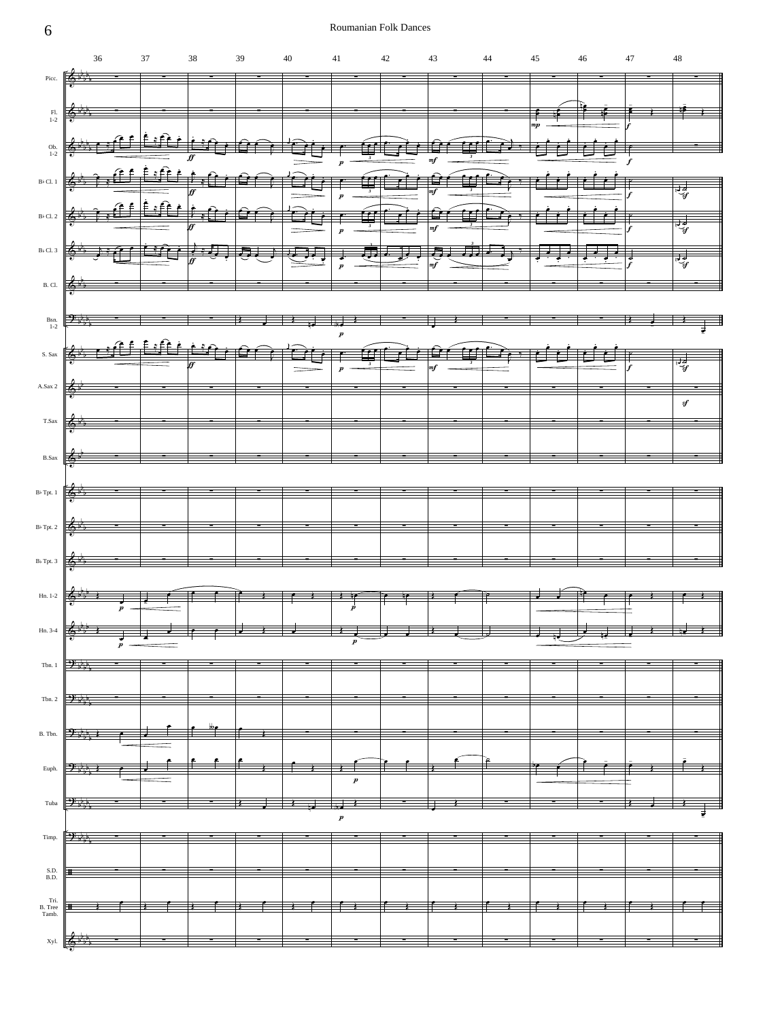